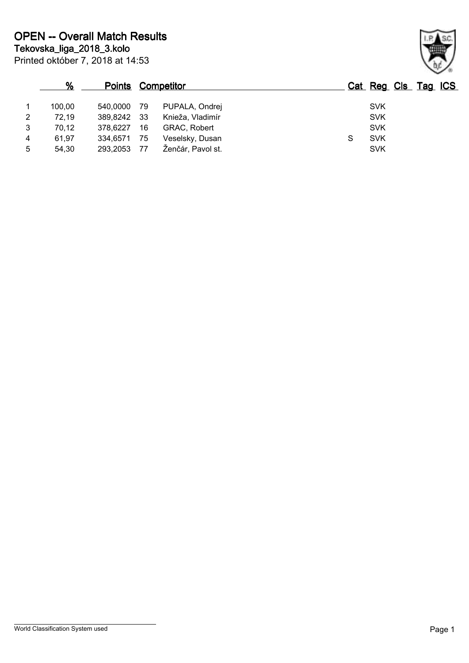|                | %      |          |      | <b>Points Competitor</b> |   | Cat Reg Cls Tag ICS |  |
|----------------|--------|----------|------|--------------------------|---|---------------------|--|
|                | 100.00 | 540.0000 | - 79 | PUPALA, Ondrej           |   | <b>SVK</b>          |  |
| $\overline{2}$ | 72,19  | 389,8242 | 33   | Knieža, Vladimír         |   | <b>SVK</b>          |  |
| 3              | 70,12  | 378.6227 | 16   | GRAC, Robert             |   | <b>SVK</b>          |  |
| 4              | 61.97  | 334.6571 | 75   | Veselsky, Dusan          | S | <b>SVK</b>          |  |
| 5              | 54,30  | 293,2053 | -77  | Ženčár, Pavol st.        |   | <b>SVK</b>          |  |

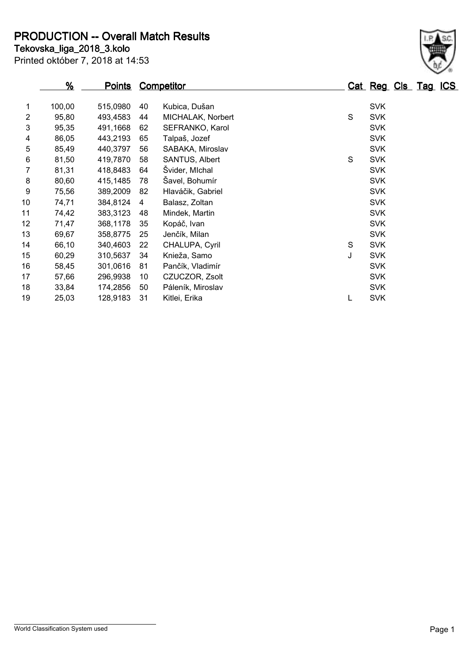**PRODUCTION -- Overall Match Results**

Printed október 7, 2018 at 14:53 **Tekovska\_liga\_2018\_3.kolo**

## **% Points Competitor Cat Reg Cls Tag ICS** 1 100,00 515,0980 40 Kubica, Dušan SVK 2 95,80 493,4583 44 MICHALAK, Norbert S SVK 3 95,35 491,1668 62 SEFRANKO, Karol SVK 4 86,05 443,2193 65 Talpaš, Jozef SVK 5 85,49 440,3797 56 SABAKA, Miroslav SVK 6 81,50 419,7870 58 SANTUS, Albert S SVK 7 81,31 418,8483 64 Švider, MIchal SVK 8 80,60 415,1485 78 Šavel, Bohumír SVK 9 75,56 389,2009 82 Hlaváčik, Gabriel SVK 10 74,71 384,8124 4 Balasz, Zoltan SVK 11 74,42 383,3123 48 Mindek, Martin SVK 12 71.47 368.1178 35 Kopáč Ivan SVK SVK SVK 13 69,67 358,8775 25 Jenčík, Milan SVK 14 66,10 340,4603 22 CHALUPA, Cyril S SVK 15 60,29 310,5637 34 Knieža, Samo J SVK 16 58,45 301,0616 81 Pančík, Vladimír SVK 17 57,66 296,9938 10 CZUCZOR, Zsolt SVK SVK 18 33,84 174,2856 50 Páleník, Miroslav SVK 19 25,03 128,9183 31 Kitlei, Erika L SVK

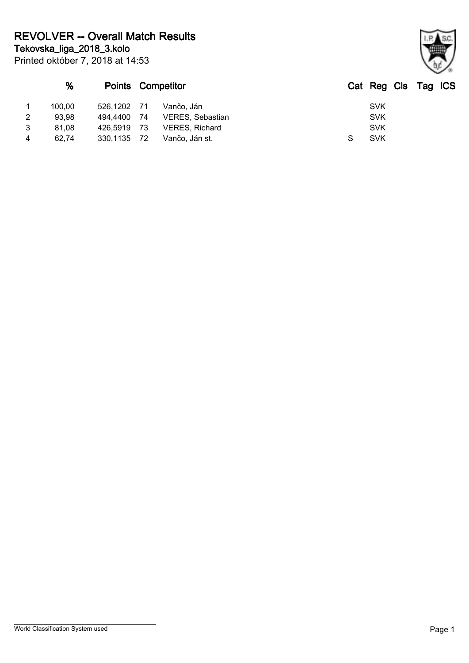|   | %      |          | <b>Points Competitor</b> |                  | Cat Reg Cls Tag ICS |  |
|---|--------|----------|--------------------------|------------------|---------------------|--|
|   | 100.00 | 526.1202 | - 71                     | Vančo. Ján       | <b>SVK</b>          |  |
| 2 | 93.98  | 494.4400 | -74                      | VERES, Sebastian | <b>SVK</b>          |  |
| 3 | 81.08  | 426.5919 | -73                      | VERES, Richard   | <b>SVK</b>          |  |
| 4 | 62.74  | 330,1135 | -72                      | Vančo, Ján st.   | <b>SVK</b>          |  |

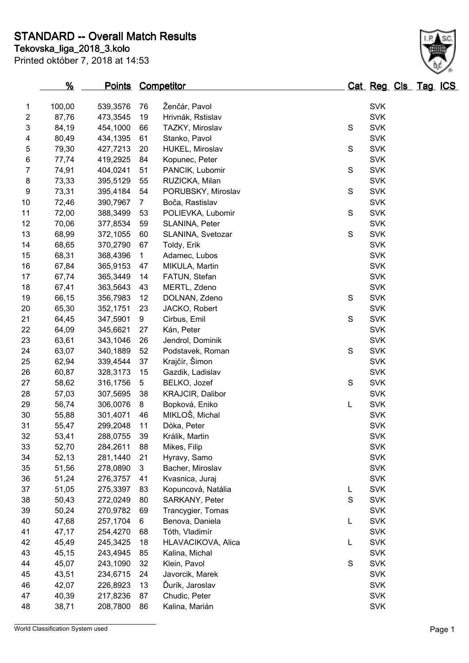Printed október 7, 2018 at 14:53

## **Tekovska\_liga\_2018\_3.kolo STANDARD -- Overall Match Results**

|                  | %      | <u>Points</u> |                | <b>Competitor</b>       |               | Cat Reg Cls Tag ICS |  |  |
|------------------|--------|---------------|----------------|-------------------------|---------------|---------------------|--|--|
| 1                | 100,00 | 539,3576      | 76             | Ženčár, Pavol           |               | <b>SVK</b>          |  |  |
| $\boldsymbol{2}$ | 87,76  | 473,3545      | 19             | Hrivnák, Rstislav       |               | <b>SVK</b>          |  |  |
| 3                | 84,19  | 454,1000      | 66             | TAZKY, Miroslav         | ${\mathsf S}$ | <b>SVK</b>          |  |  |
| 4                | 80,49  | 434,1395      | 61             | Stanko, Pavol           |               | <b>SVK</b>          |  |  |
| 5                | 79,30  | 427,7213      | 20             | HUKEL, Miroslav         | ${\mathsf S}$ | <b>SVK</b>          |  |  |
| 6                | 77,74  | 419,2925      | 84             | Kopunec, Peter          |               | <b>SVK</b>          |  |  |
| 7                | 74,91  | 404,0241      | 51             | PANCIK, Lubomir         | ${\mathsf S}$ | <b>SVK</b>          |  |  |
| 8                | 73,33  | 395,5129      | 55             | RUZICKA, Milan          |               | <b>SVK</b>          |  |  |
| 9                | 73,31  | 395,4184      | 54             | PORUBSKY, Miroslav      | $\mathbf S$   | <b>SVK</b>          |  |  |
| 10               | 72,46  | 390,7967      | $\overline{7}$ | Boča, Rastislav         |               | <b>SVK</b>          |  |  |
| 11               | 72,00  | 388,3499      | 53             | POLIEVKA, Lubomir       | ${\mathsf S}$ | <b>SVK</b>          |  |  |
| 12               | 70,06  | 377,8534      | 59             | SLANINA, Peter          |               | <b>SVK</b>          |  |  |
| 13               | 68,99  | 372,1055      | 60             | SLANINA, Svetozar       | $\mathsf S$   | <b>SVK</b>          |  |  |
| 14               | 68,65  | 370,2790      | 67             | Toldy, Erik             |               | <b>SVK</b>          |  |  |
| 15               | 68,31  | 368,4396      | $\mathbf{1}$   | Adamec, Lubos           |               | <b>SVK</b>          |  |  |
| 16               | 67,84  | 365,9153      | 47             | MIKULA, Martin          |               | <b>SVK</b>          |  |  |
| 17               | 67,74  | 365,3449      | 14             | FATUN, Stefan           |               | <b>SVK</b>          |  |  |
| 18               | 67,41  | 363,5643      | 43             | MERTL, Zdeno            |               | <b>SVK</b>          |  |  |
| 19               | 66,15  | 356,7983      | 12             | DOLNAN, Zdeno           | $\mathbf S$   | <b>SVK</b>          |  |  |
| 20               | 65,30  | 352,1751      | 23             | JACKO, Robert           |               | <b>SVK</b>          |  |  |
| 21               | 64,45  | 347,5901      | 9              | Cirbus, Emil            | $\mathsf S$   | <b>SVK</b>          |  |  |
| 22               | 64,09  | 345,6621      | 27             | Kán, Peter              |               | <b>SVK</b>          |  |  |
| 23               | 63,61  | 343,1046      | 26             | Jendrol, Dominik        |               | <b>SVK</b>          |  |  |
| 24               | 63,07  | 340,1889      | 52             | Podstavek, Roman        | $\mathbf S$   | <b>SVK</b>          |  |  |
| 25               | 62,94  | 339,4544      | 37             | Krajčír, Šimon          |               | <b>SVK</b>          |  |  |
| 26               | 60,87  | 328,3173      | 15             | Gazdik, Ladislav        |               | <b>SVK</b>          |  |  |
| 27               | 58,62  | 316,1756      | 5              | BELKO, Jozef            | ${\mathsf S}$ | <b>SVK</b>          |  |  |
| 28               | 57,03  | 307,5695      | 38             | <b>KRAJCIR, Dalibor</b> |               | <b>SVK</b>          |  |  |
| 29               | 56,74  | 306,0076      | 8              | Bopková, Eniko          | L             | <b>SVK</b>          |  |  |
| 30               | 55,88  | 301,4071      | 46             | MIKLOŠ, Michal          |               | <b>SVK</b>          |  |  |
| 31               | 55,47  | 299,2048      | 11             | Dóka, Peter             |               | <b>SVK</b>          |  |  |
| 32               | 53,41  | 288,0755      | 39             | Králik, Martin          |               | <b>SVK</b>          |  |  |
| 33               | 52,70  | 284,2611      | 88             | Mikes, Filip            |               | <b>SVK</b>          |  |  |
| 34               | 52,13  | 281,1440      | 21             | Hyravy, Samo            |               | <b>SVK</b>          |  |  |
| 35               | 51,56  | 278,0890      | 3              | Bacher, Miroslav        |               | <b>SVK</b>          |  |  |
| 36               | 51,24  | 276,3757      | 41             | Kvasnica, Juraj         |               | <b>SVK</b>          |  |  |
| 37               | 51,05  | 275,3397      | 83             | Kopuncová, Natália      | L             | <b>SVK</b>          |  |  |
| 38               | 50,43  | 272,0249      | 80             | SARKANY, Peter          | ${\mathsf S}$ | <b>SVK</b>          |  |  |
| 39               | 50,24  | 270,9782      | 69             | Trancygier, Tomas       |               | <b>SVK</b>          |  |  |
| 40               | 47,68  | 257,1704      | 6              | Benova, Daniela         | L             | <b>SVK</b>          |  |  |
| 41               | 47,17  | 254,4270      | 68             | Tóth, Vladimír          |               | <b>SVK</b>          |  |  |
| 42               | 45,49  | 245,3425      | 18             | HLAVACIKOVA, Alica      | L             | <b>SVK</b>          |  |  |
| 43               | 45,15  | 243,4945      | 85             | Kalina, Michal          |               | <b>SVK</b>          |  |  |
| 44               | 45,07  | 243,1090      | 32             | Klein, Pavol            | ${\mathsf S}$ | <b>SVK</b>          |  |  |
| 45               | 43,51  | 234,6715      | 24             | Javorcik, Marek         |               | <b>SVK</b>          |  |  |
| 46               | 42,07  | 226,8923      | 13             | Ďurík, Jaroslav         |               | <b>SVK</b>          |  |  |
| 47               | 40,39  | 217,8236      | 87             | Chudic, Peter           |               | <b>SVK</b>          |  |  |
| 48               | 38,71  | 208,7800      | 86             | Kalina, Marián          |               | <b>SVK</b>          |  |  |